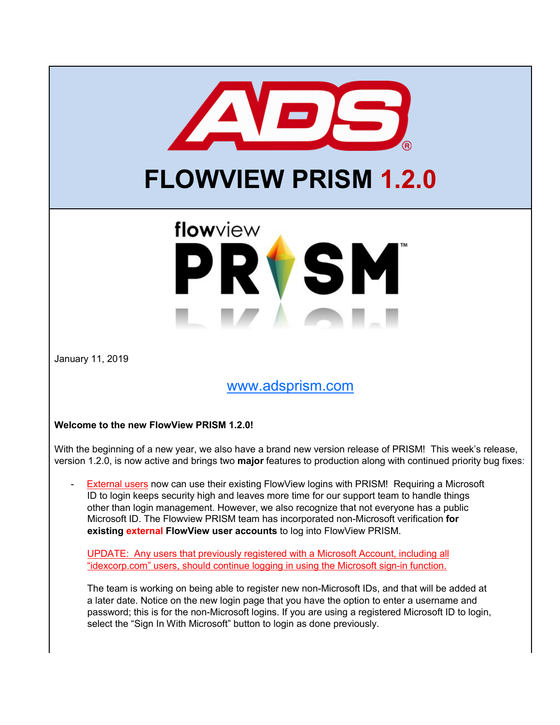

# **FLOWVIEW PRISM 1.2.0**

# flowview RVSM

January 11, 2019

## [www.adsprism.com](http://www.adsprism.com/)

### **Welcome to the new FlowView PRISM 1.2.0!**

With the beginning of a new year, we also have a brand new version release of PRISM! This week's release, version 1.2.0, is now active and brings two **major** features to production along with continued priority bug fixes:

External users now can use their existing FlowView logins with PRISM! Requiring a Microsoft ID to login keeps security high and leaves more time for our support team to handle things other than login management. However, we also recognize that not everyone has a public Microsoft ID. The Flowview PRISM team has incorporated non-Microsoft verification **for existing external FlowView user accounts** to log into FlowView PRISM.

UPDATE: Any users that previously registered with a Microsoft Account, including all "idexcorp.com" users, should continue logging in using the Microsoft sign-in function.

The team is working on being able to register new non-Microsoft IDs, and that will be added at a later date. Notice on the new login page that you have the option to enter a username and password; this is for the non-Microsoft logins. If you are using a registered Microsoft ID to login, select the "Sign In With Microsoft" button to login as done previously.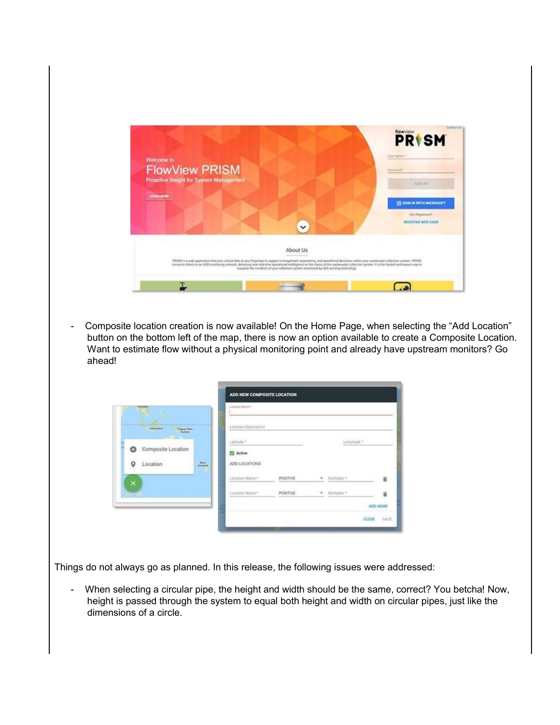

- Composite location creation is now available! On the Home Page, when selecting the "Add Location" button on the bottom left of the map, there is now an option available to create a Composite Location. Want to estimate flow without a physical monitoring point and already have upstream monitors? Go ahead!

| <b>Thartand</b>                 | Location Name *      |                 |                   |             |
|---------------------------------|----------------------|-----------------|-------------------|-------------|
| <b>Indonesia</b><br>Pagua New   | Location Description |                 |                   |             |
|                                 | Latitude *           |                 |                   | Longitude * |
| Composite Location<br>ౚ         | <b>E2</b> Active     |                 |                   |             |
| New<br>Zealand<br>Location<br>o | ADD LOCATIONS        |                 |                   |             |
| $\times$                        | Location Name *      | <b>POSITIVE</b> | * Multiplier*     |             |
| Google                          | Location Name =      | POSITIVE        | Multiplier *<br>٠ |             |
|                                 |                      |                 |                   | ADD MORE    |

Things do not always go as planned. In this release, the following issues were addressed:

- When selecting a circular pipe, the height and width should be the same, correct? You betcha! Now, height is passed through the system to equal both height and width on circular pipes, just like the dimensions of a circle.